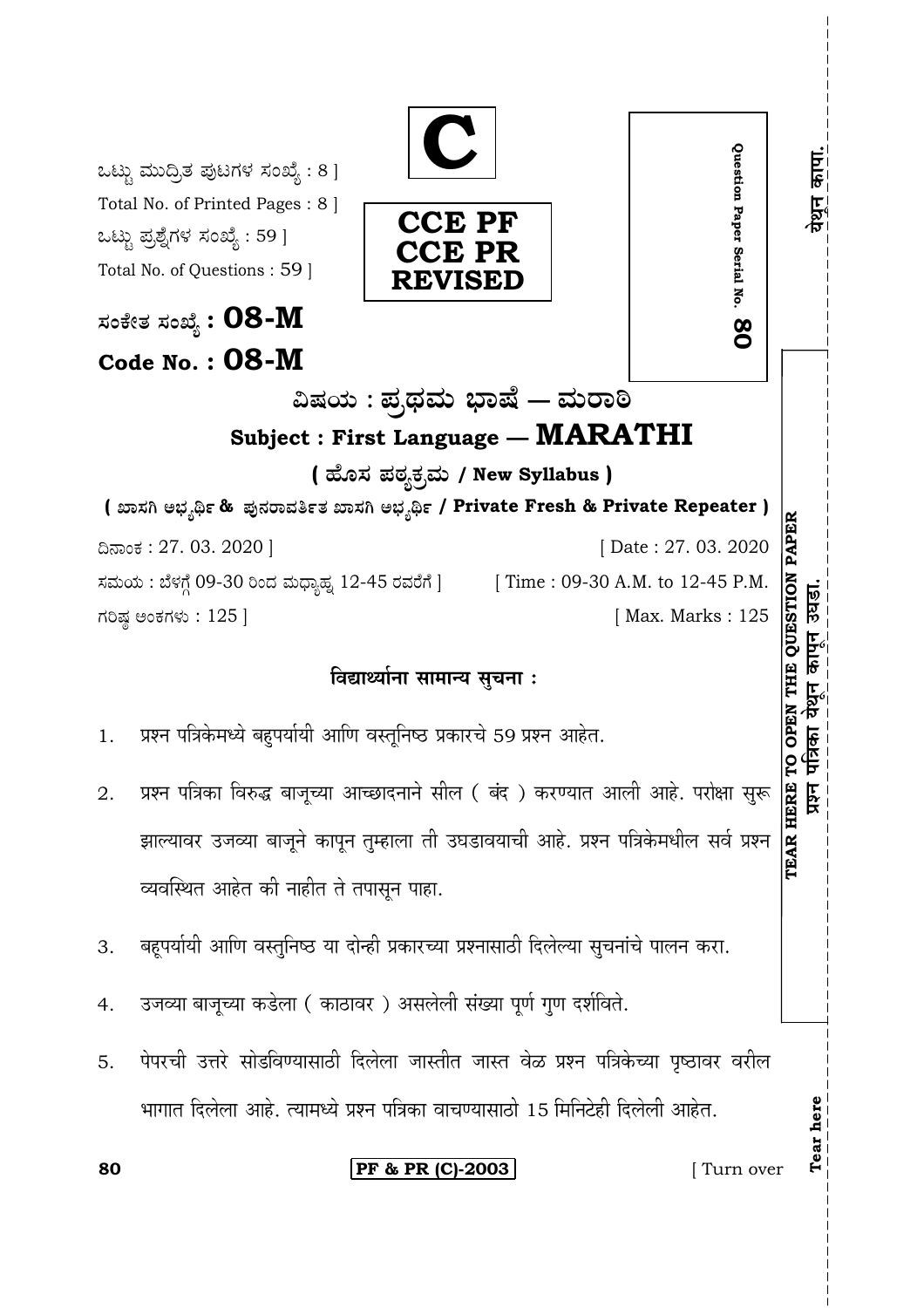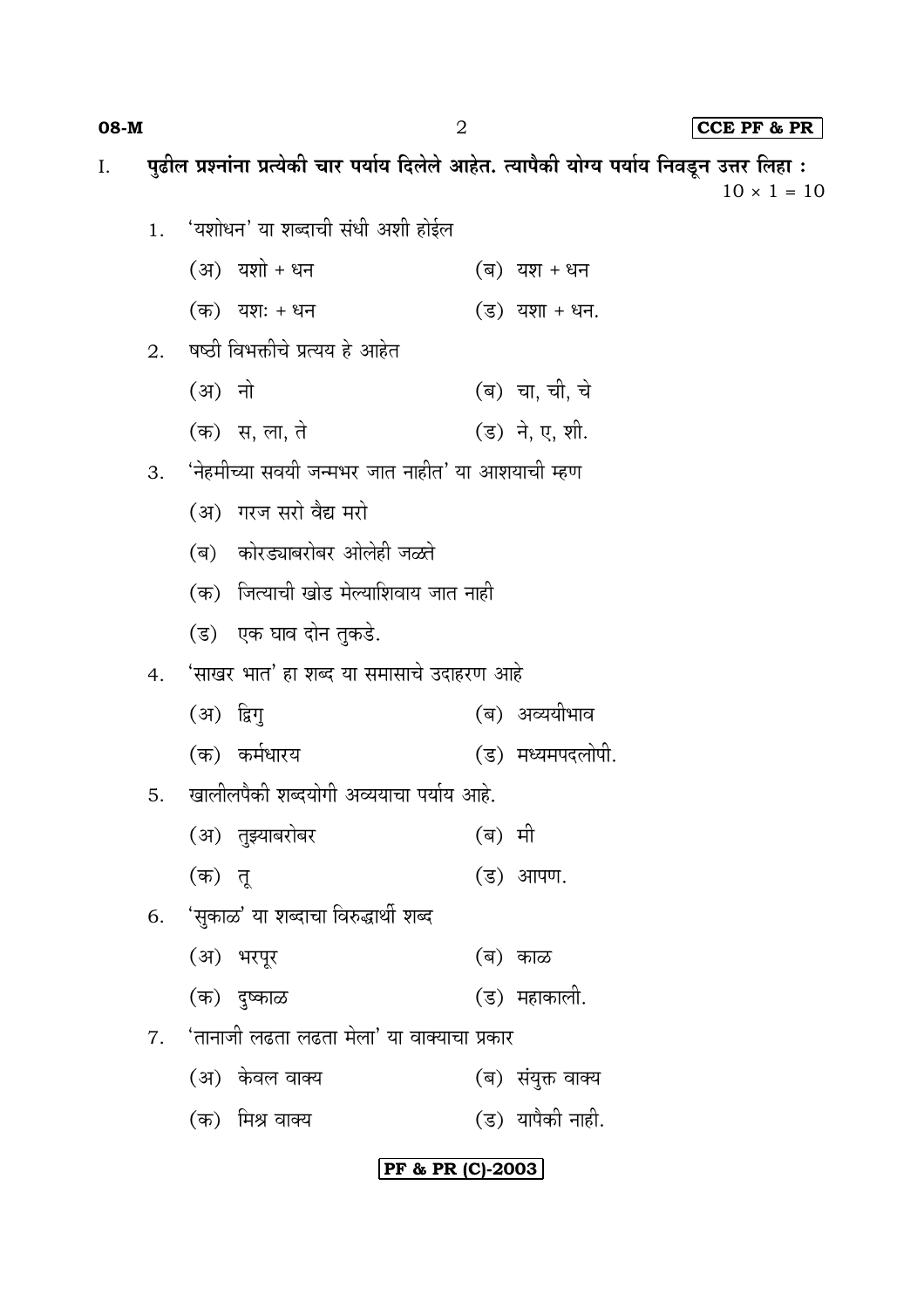08-M

CCE PF & PR

पुढील प्रश्नांना प्रत्येकी चार पर्याय दिलेले आहेत. त्यापैकी योग्य पर्याय निवडून उत्तर लिहा : I.  $10 \times 1 = 10$ 'यशोधन' या शब्दाची संधी अशी होईल  $\overline{1}$ .  $(3)$  यशो + धन (ब) यश + धन (क) यशः + धन  $(3)$  यशा + धन. 2. षष्ठी विभक्तीचे प्रत्यय हे आहेत (अ) नो (ब) चा, ची, चे (ड) ने, ए, शी. (क) स, ला, ते 'नेहमीच्या सवयी जन्मभर जात नाहीत' या आशयाची म्हण  $\mathcal{B}_{\mathcal{C}}$ (अ) गरज सरो वैद्य मरो (ब) कोरड्याबरोबर ओलेही जळते (क) जित्याची खोड मेल्याशिवाय जात नाही

(ड) एक घाव दोन तुकडे.

#### 'साखर भात' हा शब्द या समासाचे उदाहरण आहे  $4.$

- (अ) द्विग् (ब) अव्ययीभाव
- (क) कर्मधारय (ड) मध्यमपदलोपी.
- खालीलपैकी शब्दयोगी अव्ययाचा पर्याय आहे. 5.
	- (अ) तुझ्याबरोबर (ब) मी (क) त<u>ू</u> (ड) आपण.
- 6. 'सुकाळ' या शब्दाचा विरुद्धार्थी शब्द
	- (अ) भरपूर (ब) काळ
	- (क) दुष्काळ (ड) महाकाली.
- 'तानाजी लढता लढता मेला' या वाक्याचा प्रकार  $7<sup>1</sup>$ 
	- (ब) संयुक्त वाक्य (अ) केवल वाक्य
	- (ड) यापैकी नाही. (क) मिश्र वाक्य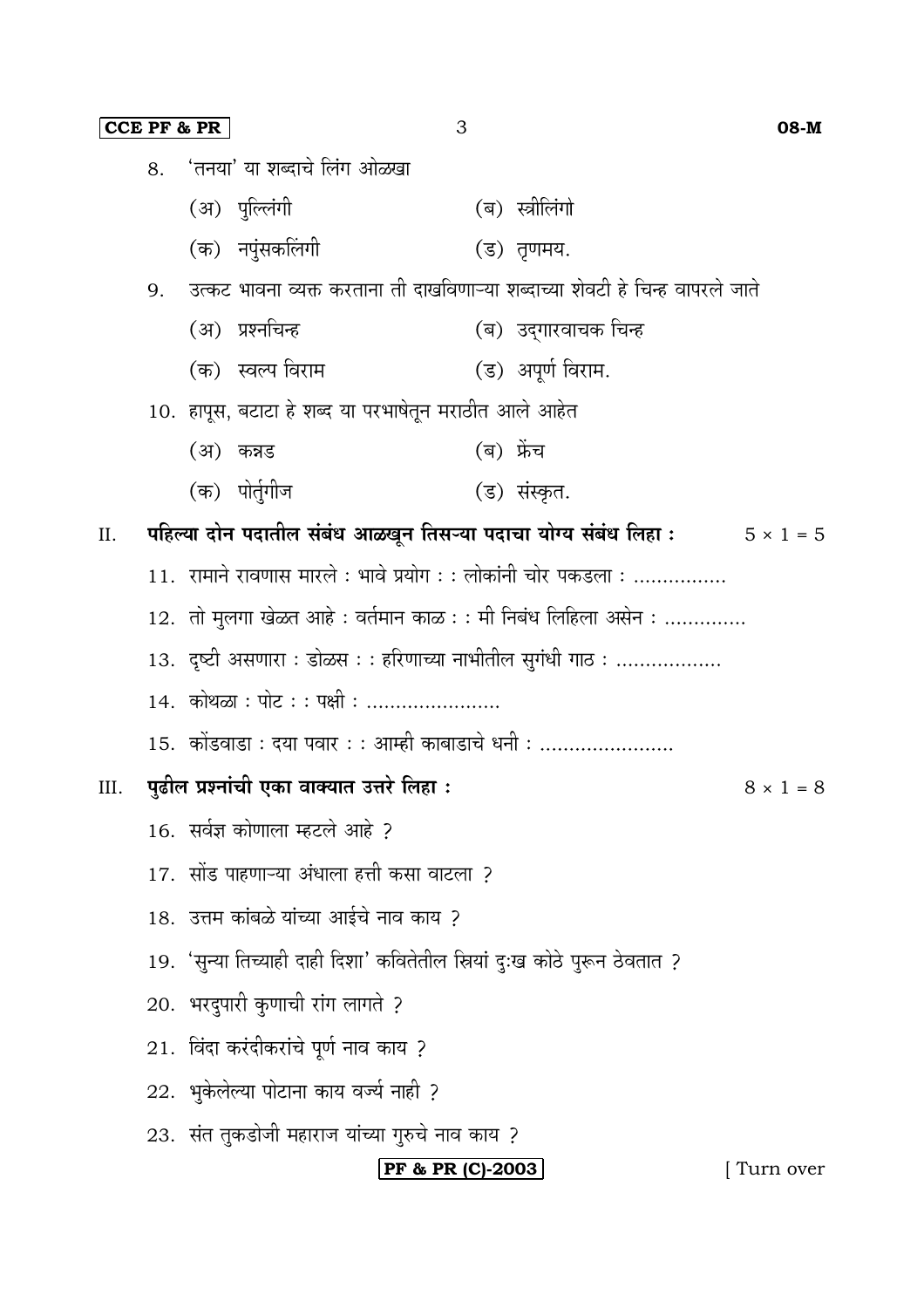|      |                                                                                     | <b>CCE PF &amp; PR</b><br>3                                                   | 08-M                  |  |  |
|------|-------------------------------------------------------------------------------------|-------------------------------------------------------------------------------|-----------------------|--|--|
|      | 8.                                                                                  | 'तनया' या शब्दाचे लिंग ओळखा                                                   |                       |  |  |
|      |                                                                                     | (अ) पुल्लिंगी                                                                 | (ब) स्त्रीलिंगो       |  |  |
|      |                                                                                     | (क) नपुंसकलिंगी                                                               | (ड) तृणमय.            |  |  |
|      | 9.                                                                                  | उत्कट भावना व्यक्त करताना ती दाखविणाऱ्या शब्दाच्या शेवटी हे चिन्ह वापरले जाते |                       |  |  |
|      |                                                                                     | (अ) प्रश्नचिन्ह                                                               | (ब)  उद्गारवाचक चिन्ह |  |  |
|      |                                                                                     | (क) स्वल्प विराम                                                              | (ड) अपूर्ण विराम.     |  |  |
|      |                                                                                     | 10. हापूस, बटाटा हे शब्द या परभाषेतून मराठीत आले आहेत                         |                       |  |  |
|      |                                                                                     | (ब) फ्रेंच<br>(अ) कन्नड                                                       |                       |  |  |
|      |                                                                                     | (क) पोर्तुगीज                                                                 | (ड) संस्कृत.          |  |  |
| II.  | पहिल्या दोन पदातील संबंध आळखून तिसऱ्या पदाचा योग्य संबंध लिहा :<br>$5 \times 1 = 5$ |                                                                               |                       |  |  |
|      | $11.$ रामाने रावणास मारले : भावे प्रयोग : : लोकांनी चोर पकडला :                     |                                                                               |                       |  |  |
|      |                                                                                     | 12. तो मुलगा खेळत आहे : वर्तमान काळ : : मी निबंध लिहिला असेन :                |                       |  |  |
|      |                                                                                     | 13.  दृष्टी असणारा : डोळस : : हरिणाच्या नाभीतील सुगंधी गाठ :                  |                       |  |  |
|      |                                                                                     | 14. कोथळा : पोट : : पक्षी :                                                   |                       |  |  |
|      |                                                                                     | 15.  कोंडवाडा : दया पवार : : आम्ही काबाडाचे धनी :                             |                       |  |  |
| III. |                                                                                     | पुढील प्रश्नांची एका वाक्यात उत्तरे लिहा :                                    | $8 \times 1 = 8$      |  |  |
|      |                                                                                     | 16. सर्वज्ञ कोणाला म्हटले आहे ?                                               |                       |  |  |
|      | 17.  सोंड पाहणाऱ्या अंधाला हत्ती कसा वाटला  ?                                       |                                                                               |                       |  |  |
|      |                                                                                     | 18. उत्तम कांबळे यांच्या आईचे नाव काय ?                                       |                       |  |  |
|      |                                                                                     | 19.'सुन्या तिच्याही दाही दिशा' कवितेतील स्रियां दुःख कोठे पुरून ठेवतात ?      |                       |  |  |
|      |                                                                                     | 20. भरदुपारी कुणाची रांग लागते ?                                              |                       |  |  |
|      |                                                                                     | $21.$ विंदा करंदीकरांचे पूर्ण नाव काय ?                                       |                       |  |  |
|      |                                                                                     | 22. भुकेलेल्या पोटाना काय वर्ज्य नाही ?                                       |                       |  |  |
|      |                                                                                     | 23.  संत तुकडोजी महाराज यांच्या गुरुचे नाव काय ?                              |                       |  |  |
|      |                                                                                     | PF & PR (C)-2003                                                              | Turn over             |  |  |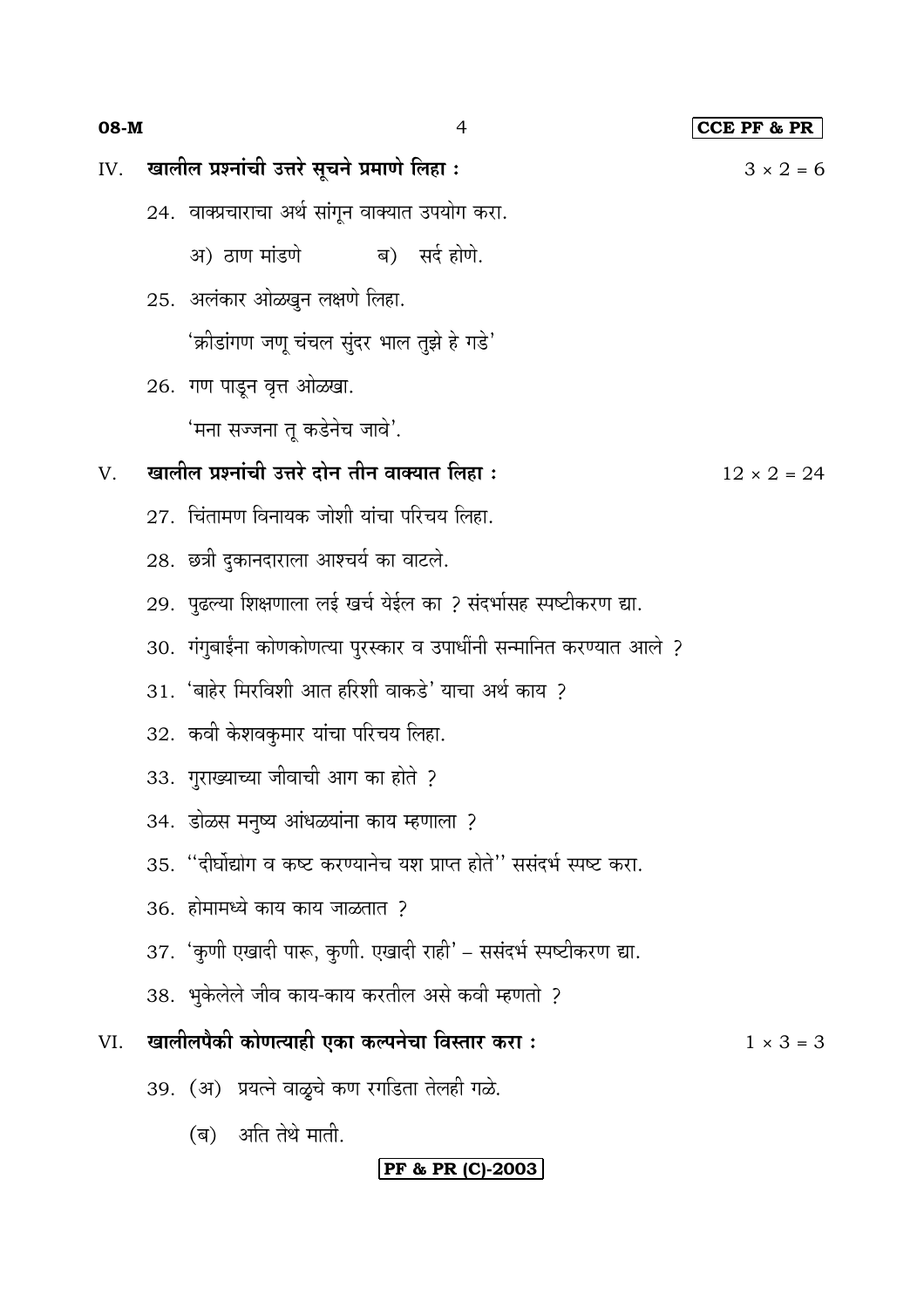| खालील प्रश्नांची उत्तरे सूचने प्रमाणे लिहा: |  |  |  |
|---------------------------------------------|--|--|--|

08-M

IV.

24. वाक्प्रचाराचा अर्थ सांगून वाक्यात उपयोग करा.

 $\overline{4}$ 

- सर्द होणे. अ) ठाण मांडणे ब)
- 25. अलंकार ओळखुन लक्षणे लिहा. 'क्रीडांगण जणू चंचल सुंदर भाल तुझे हे गडे'
- 26. गण पाडून वृत्त ओळखा.

'मना सज्जना तु कडेनेच जावे'.

#### खालील प्रश्नांची उत्तरे दोन तीन वाक्यात लिहा :  $V_{\cdot}$

- 27. चिंतामण विनायक जोशी यांचा परिचय लिहा.
- 28. छत्री दुकानदाराला आश्चर्य का वाटले.
- 29. पुढल्या शिक्षणाला लई खर्च येईल का ? संदर्भासह स्पष्टीकरण द्या.
- 30. गंगुबाईंना कोणकोणत्या पुरस्कार व उपाधींनी सन्मानित करण्यात आले ?
- 31. 'बाहेर मिरविशी आत हरिशी वाकडे' याचा अर्थ काय ?
- 32. कवी केशवकुमार यांचा परिचय लिहा.
- 33. गुराख्याच्या जीवाची आग का होते ?
- 34. डोळस मनुष्य आंधळयांना काय म्हणाला ?
- 35. "दीर्घोद्योग व कष्ट करण्यानेच यश प्राप्त होते" ससंदर्भ स्पष्ट करा.
- 36. होमामध्ये काय काय जाळतात ?
- 37. 'कुणी एखादी पारू, कुणी. एखादी राही' ससंदर्भ स्पष्टीकरण द्या.
- 38. भुकेलेले जीव काय-काय करतील असे कवी म्हणतो ?
- खालीलपैकी कोणत्याही एका कल्पनेचा विस्तार करा : VI.  $1 \times 3 = 3$ 
	- 39. (अ) प्रयत्ने वाळूचे कण रगडिता तेलही गळे.
		- (ब) अति तेथे माती.

## **PF & PR (C)-2003**

CCE PF & PR

 $3 \times 2 = 6$ 

 $12 \times 2 = 24$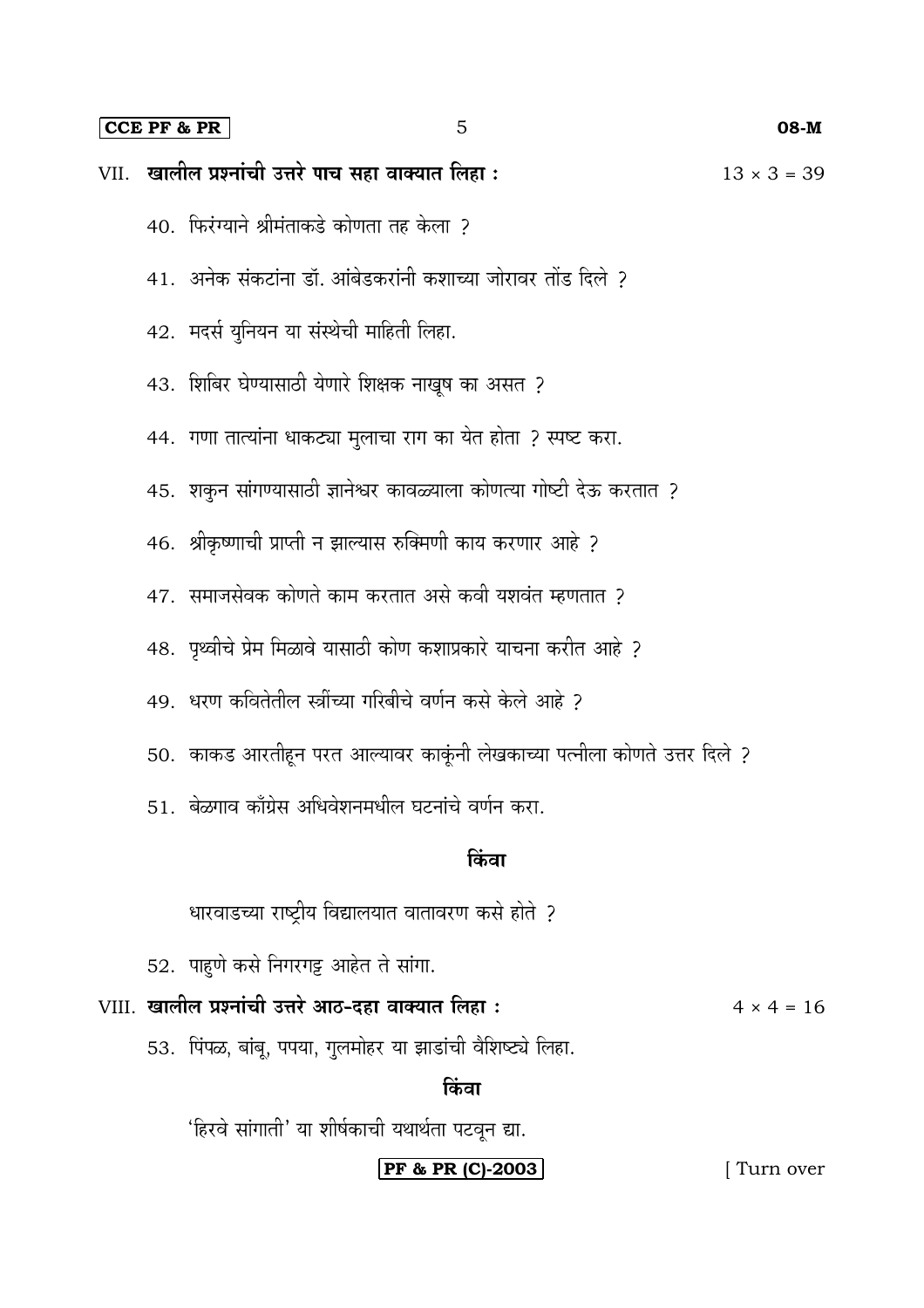#### **CCE PF & PR** 5 **08-M**

| VII. खालील प्रश्नांची उत्तरे पाच सहा वाक्यात लिहा : |                                                                         | $13 \times 3 = 39$                                                                             |             |  |  |
|-----------------------------------------------------|-------------------------------------------------------------------------|------------------------------------------------------------------------------------------------|-------------|--|--|
|                                                     | 40. फिरंग्याने श्रीमंताकडे कोणता तह केला ?                              |                                                                                                |             |  |  |
|                                                     |                                                                         | 41.  अनेक संकटांना डॉ. आंबेडकरांनी कशाच्या जोरावर तोंड दिले ?                                  |             |  |  |
|                                                     |                                                                         | 42. मदर्स युनियन या संस्थेची माहिती लिहा.<br>43. शिबिर घेण्यासाठी येणारे शिक्षक नाखूष का असत ? |             |  |  |
|                                                     |                                                                         |                                                                                                |             |  |  |
|                                                     |                                                                         | 44.  गणा तात्यांना धाकट्या मुलाचा राग का येत होता ? स्पष्ट करा.                                |             |  |  |
|                                                     | 45. शकुन सांगण्यासाठी ज्ञानेश्वर कावळ्याला कोणत्या गोष्टी देऊ करतात ?   |                                                                                                |             |  |  |
|                                                     | 46.  श्रीकृष्णाची प्राप्ती न झाल्यास रुक्मिणी काय करणार आहे ?           |                                                                                                |             |  |  |
|                                                     | 47.  समाजसेवक कोणते काम करतात असे कवी यशवंत म्हणतात ?                   |                                                                                                |             |  |  |
|                                                     | 48.  पृथ्वीचे प्रेम मिळावे यासाठी कोण कशाप्रकारे याचना करीत आहे ?       |                                                                                                |             |  |  |
|                                                     |                                                                         | 49.  धरण कवितेतील स्त्रींच्या गरिबीचे वर्णन कसे केले आहे ?                                     |             |  |  |
|                                                     |                                                                         | 50.  काकड आरतीहून परत आल्यावर काकूंनी लेखकाच्या पत्नीला कोणते उत्तर दिले ?                     |             |  |  |
|                                                     | 51.  बेळगाव काँग्रेस अधिवेशनमधील घटनांचे वर्णन करा.                     |                                                                                                |             |  |  |
|                                                     | किवा                                                                    |                                                                                                |             |  |  |
|                                                     |                                                                         | धारवाडच्या राष्ट्रीय विद्यालयात वातावरण कसे होते ?                                             |             |  |  |
|                                                     |                                                                         | 52. पाहुणे कसे निगरगट्ट आहेत ते सांगा.                                                         |             |  |  |
|                                                     | VIII. खालील प्रश्नांची उत्तरे आठ-दहा वाक्यात लिहा:<br>$4 \times 4 = 16$ |                                                                                                |             |  |  |
|                                                     | 53. पिंपळ, बांबू, पपया, गुलमोहर या झाडांची वैशिष्ट्ये लिहा.             |                                                                                                |             |  |  |
| किंवा                                               |                                                                         |                                                                                                |             |  |  |
|                                                     | 'हिरवे सांगाती' या शीर्षकाची यथार्थता पटवून द्या.                       |                                                                                                |             |  |  |
|                                                     |                                                                         | PF & PR (C)-2003                                                                               | [ Turn over |  |  |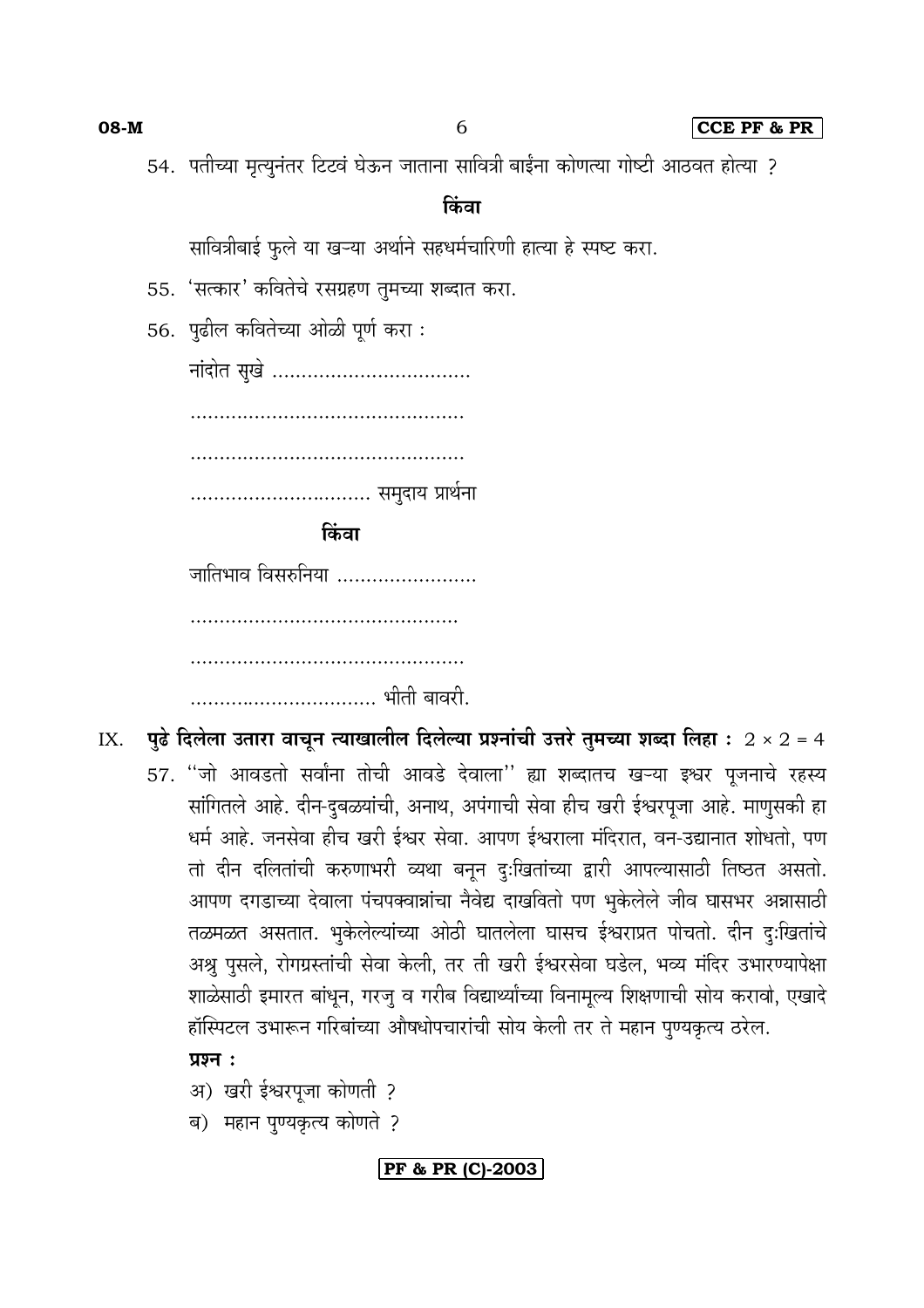08-M

6

54. पतीच्या मृत्यूनंतर टिटवं घेऊन जाताना सावित्री बाईंना कोणत्या गोष्टी आठवत होत्या ?

#### किंवा

सावित्रीबाई फुले या खऱ्या अर्थाने सहधर्मचारिणी हात्या हे स्पष्ट करा.

- 55. 'सत्कार' कवितेचे रसग्रहण तुमच्या शब्दात करा.
- 56. पुढील कवितेच्या ओळी पूर्ण करा:

नांदोत सुखे ................................... ................................ समुदाय प्रार्थना

किंवा

जातिभाव विसरुनिया ........................ 

- पुढे दिलेला उतारा वाचून त्याखालील दिलेल्या प्रश्नांची उत्तरे तुमच्या शब्दा लिहा : 2 × 2 = 4 IX.
	- 57. "जो आवडतो सर्वांना तोची आवडे देवाला" ह्या शब्दातच खऱ्या इश्वर पूजनाचे रहस्य सांगितले आहे. दीन-दुबळयांची, अनाथ, अपंगाची सेवा हीच खरी ईश्वरपूजा आहे. माणूसकी हा धर्म आहे. जनसेवा हीच खरी ईश्वर सेवा. आपण ईश्वराला मंदिरात, वन-उद्यानात शोधतो, पण तो दीन दलितांची करुणाभरी व्यथा बनून दुःखितांच्या द्वारी आपल्यासाठी तिष्ठत असतो. आपण दगडाच्या देवाला पंचपक्वान्नांचा नैवेद्य दाखवितो पण भुकेलेले जीव घासभर अन्नासाठी तळमळत असतात. भुकेलेल्यांच्या ओठी घातलेला घासच ईश्वराप्रत पोचतो. दीन दुःखितांचे अश्रु पुसले, रोगग्रस्तांची सेवा केली, तर ती खरी ईश्वरसेवा घडेल, भव्य मंदिर उभारण्यापेक्षा शाळेसाठी इमारत बांधून, गरजू व गरीब विद्यार्थ्यांच्या विनामूल्य शिक्षणाची सोय करावो, एखादे हॉस्पिटल उभारून गरिबांच्या औषधोपचारांची सोय केली तर ते महान पुण्यकृत्य ठरेल.

## प्रश्न $:$

- अ) खरी ईश्वरपूजा कोणती ?
- ब) महान पुण्यकृत्य कोणते ?